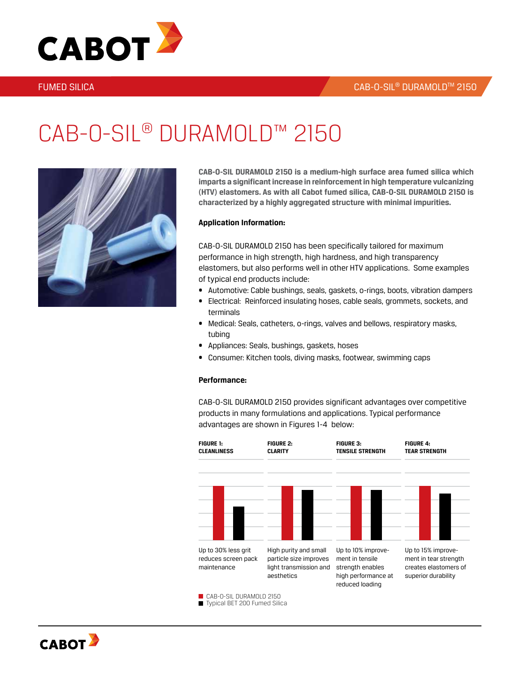

### **FUMED SILICA**

### CAB-O-SIL® DURAMOLDTM 2150

# CAB-O-SIL® DURAMOLD™ 2150



**CAB-O-SIL DURAMOLD 2150 is a medium-high surface area fumed silica which imparts a significant increase in reinforcement in high temperature vulcanizing (HTV) elastomers. As with all Cabot fumed silica, CAB-O-SIL DURAMOLD 2150 is characterized by a highly aggregated structure with minimal impurities.**

### **Application Information:**

CAB-O-SIL DURAMOLD 2150 has been specifically tailored for maximum performance in high strength, high hardness, and high transparency elastomers, but also performs well in other HTV applications. Some examples of typical end products include:

- Automotive: Cable bushings, seals, gaskets, o-rings, boots, vibration dampers
- • Electrical: Reinforced insulating hoses, cable seals, grommets, sockets, and terminals
- Medical: Seals, catheters, o-rings, valves and bellows, respiratory masks, tubing
- Appliances: Seals, bushings, gaskets, hoses
- Consumer: Kitchen tools, diving masks, footwear, swimming caps

### **Performance:**

CAB-O-SIL DURAMOLD 2150 provides significant advantages over competitive products in many formulations and applications. Typical performance advantages are shown in Figures 1-4 below:



Typical BET 200 Fumed Silica